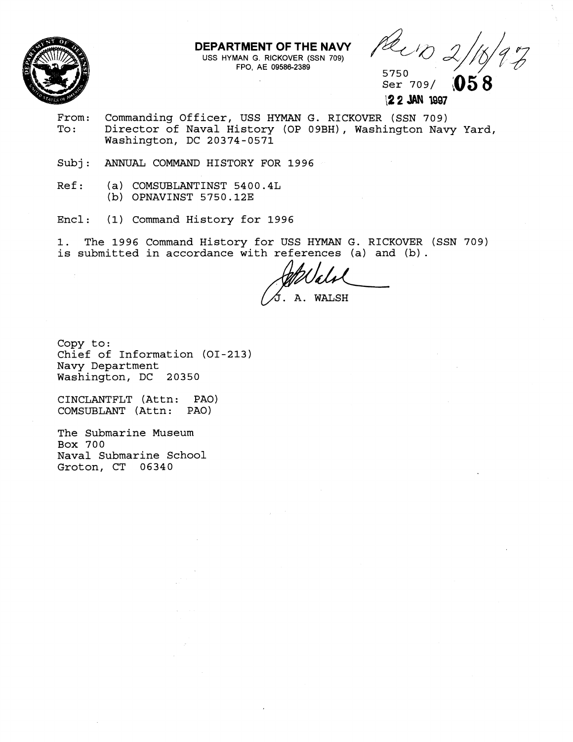

**DEPARTMEMT OF THE NAVY**  USS HYMAN G **RICKOVER** (SSN **709)** 

Hect 2, 2, 3, 3, 4, 4, 4, 4, 4, 4, 4, 4, 4, 4, 4, 5750<br>Ser 709/**0** 

**058** 

12 **2** JAN **1997** 

- From: Commanding Officer, USS HYMAN G. RICKOVER (SSN 709)<br>To: Director of Naval History (OP 09BH), Washington Nav Director of Naval History (OP 09BH), Washington Navy Yard, Washington, DC 20374-0571
- Subj: ANNUAL COMMAND HISTORY FOR 1996
- Ref: (a) COMSUBLANTINST 54 00.4L (b) OPNAVINST 5750.12E
- Encl: (1) Command History for 1996

1. The 1996 Command History for USS HYMAN G. RICKOVER (SSN 709) is submitted in accordance with references (a) and **(b).** 

A. WALSH

Copy to: Chief of Information (01-213) Navy Department Washington, DC 20350

CINCLANTFLT (Attn: PAO) COMSUBLANT (Attn:

The Submarine Museum Box 700 Naval Submarine School Groton, CT 06340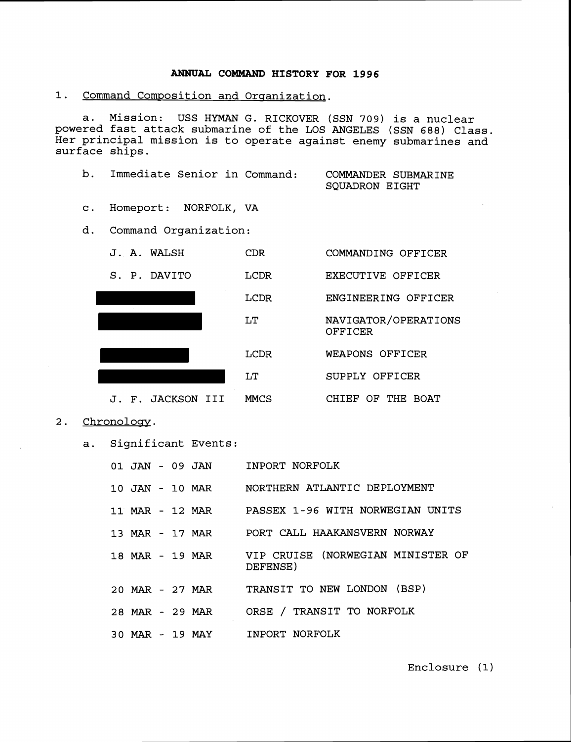## **ANNUAL COMMAND HISTORY FOR 1996**

1. Command Composition and Organization.

a. Mission: USS HYMAN G. RICKOVER (SSN **709)** is a nuclear powered fast attack submarine of the LOS ANGELES (SSN **688)** Class. Her principal mission is to operate against enemy submarines and surface ships.

b. Immediate Senior in Command: COMMANDER SUBMARINE

SQUADRON EIGHT

- c. Homeport: NORFOLK, VA
- d. Command Organization:



- **2.** Chronologv.
	- a. Significant Events:

|  |  | 01 JAN - 09 JAN | INPORT NORFOLK                                                |
|--|--|-----------------|---------------------------------------------------------------|
|  |  |                 | 10 JAN - 10 MAR MORTHERN ATLANTIC DEPLOYMENT                  |
|  |  |                 | 11 MAR - 12 MAR PASSEX 1-96 WITH NORWEGIAN UNITS              |
|  |  |                 | 13 MAR - 17 MAR     PORT CALL HAAKANSVERN NORWAY              |
|  |  |                 | 18 MAR - 19 MAR VIP CRUISE (NORWEGIAN MINISTER OF<br>DEFENSE) |
|  |  |                 | 20 MAR - 27 MAR TRANSIT TO NEW LONDON (BSP)                   |
|  |  | 28 MAR - 29 MAR | ORSE / TRANSIT TO NORFOLK                                     |
|  |  | 30 MAR - 19 MAY | INPORT NORFOLK                                                |

Enclosure **(1)**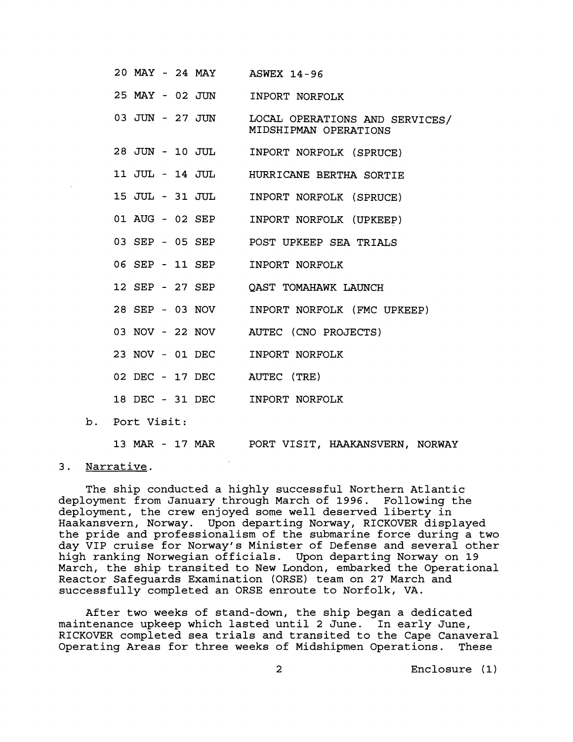| 20 MAY - 24 MAY ASWEX 14-96    |                                                         |  |  |  |  |
|--------------------------------|---------------------------------------------------------|--|--|--|--|
| 25 MAY - 02 JUN                | INPORT NORFOLK                                          |  |  |  |  |
| 03 JUN - 27 JUN                | LOCAL OPERATIONS AND SERVICES/<br>MIDSHIPMAN OPERATIONS |  |  |  |  |
|                                | 28 JUN - 10 JUL INPORT NORFOLK (SPRUCE)                 |  |  |  |  |
|                                | 11 JUL - 14 JUL HURRICANE BERTHA SORTIE                 |  |  |  |  |
|                                | 15 JUL - 31 JUL INPORT NORFOLK (SPRUCE)                 |  |  |  |  |
| 01 AUG - 02 SEP                | INPORT NORFOLK (UPKEEP)                                 |  |  |  |  |
|                                | 03 SEP - 05 SEP POST UPKEEP SEA TRIALS                  |  |  |  |  |
| 06 SEP - 11 SEP INPORT NORFOLK |                                                         |  |  |  |  |
|                                | 12 SEP - 27 SEP QAST TOMAHAWK LAUNCH                    |  |  |  |  |
|                                | 28 SEP - 03 NOV INPORT NORFOLK (FMC UPKEEP)             |  |  |  |  |
|                                | 03 NOV - 22 NOV AUTEC (CNO PROJECTS)                    |  |  |  |  |
| 23 NOV - 01 DEC INPORT NORFOLK |                                                         |  |  |  |  |
| 02 DEC - 17 DEC AUTEC (TRE)    |                                                         |  |  |  |  |
| 18 DEC - 31 DEC INPORT NORFOLK |                                                         |  |  |  |  |
|                                |                                                         |  |  |  |  |

b. Port Visit:

**13 MAR** - **17 MAR** PORT VISIT, HAAKANSVERN, NORWAY

## 3. Narrative.

The ship conducted a highly successful Northern Atlantic deployment from January through March of **1996.** Following the deployment, the crew enjoyed some well deserved liberty in Haakansvern, Norway. Upon departing Norway, RICKOVER displayed the pride and professionalism of the submarine force during a two day VIP cruise for Norway's Minister of Defense and several other high ranking Norwegian officials. Upon departing Norway on **19**  March, the ship transited to New London, embarked the Operational Reactor Safeguards Examination (ORSE) team on **27** March and successfully completed an ORSE enroute to Norfolk, VA.

After two weeks of stand-down, the ship began a dedicated maintenance upkeep which lasted until **2** June. In early June, RICKOVER completed sea trials and transited to the Cape Canaveral Operating Areas for three weeks of Midshipmen Operations. These

Enclosure (1)